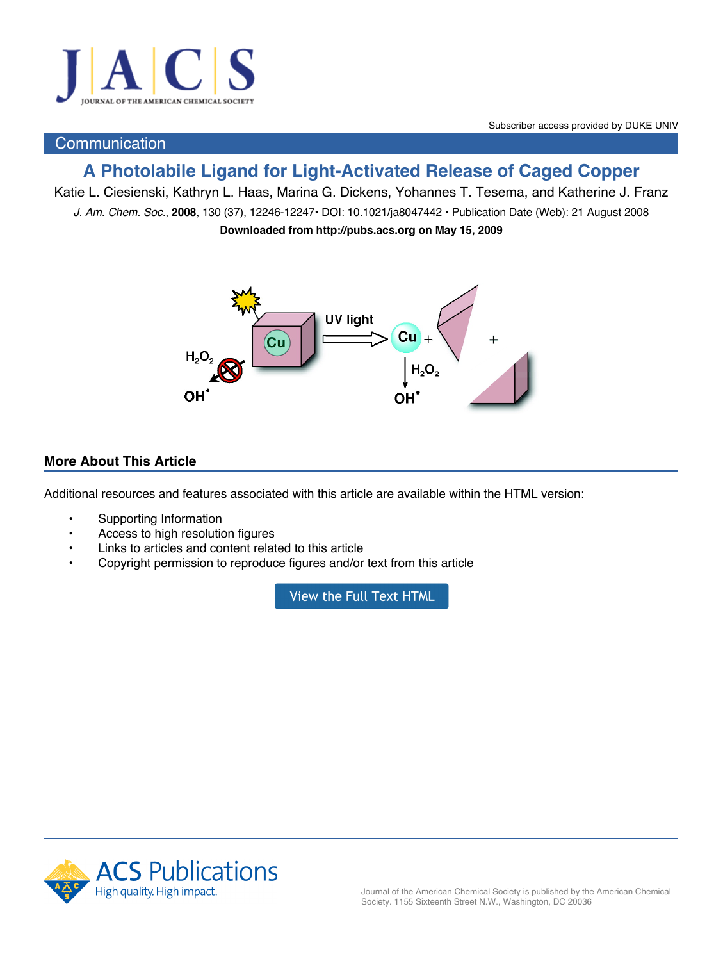

## **Communication**

# **A Photolabile Ligand for Light-Activated Release of Caged Copper**

Katie L. Ciesienski, Kathryn L. Haas, Marina G. Dickens, Yohannes T. Tesema, and Katherine J. Franz *J. Am. Chem. Soc.*, **2008**, 130 (37), 12246-12247• DOI: 10.1021/ja8047442 • Publication Date (Web): 21 August 2008 **Downloaded from http://pubs.acs.org on May 15, 2009**



### **More About This Article**

Additional resources and features associated with this article are available within the HTML version:

- Supporting Information
- Access to high resolution figures
- Links to articles and content related to this article
- Copyright permission to reproduce figures and/or text from this article

View the Full Text HTML

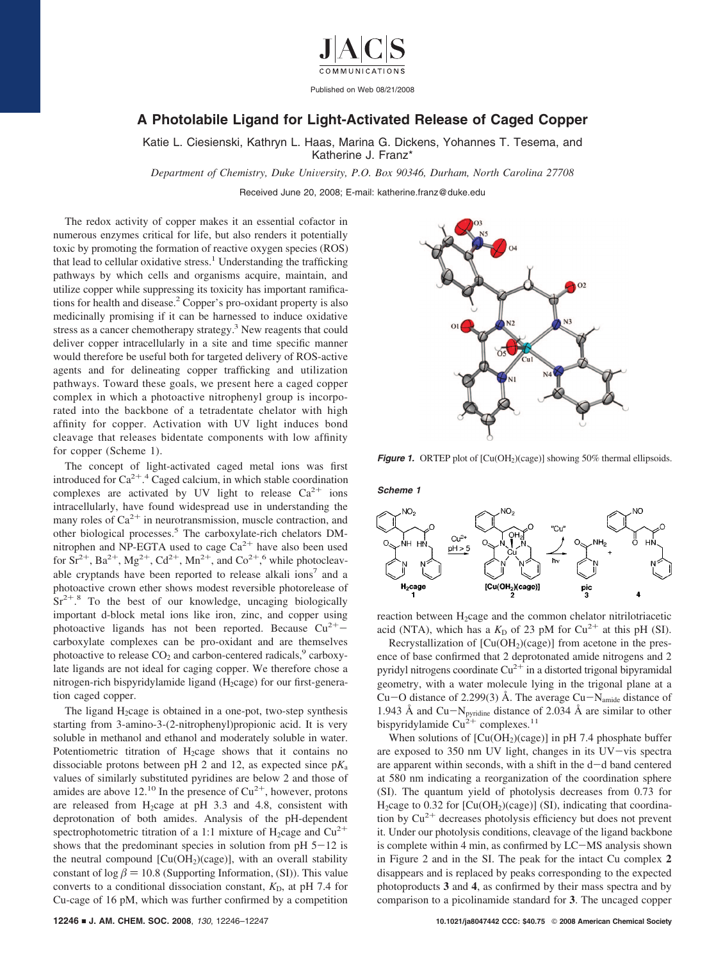

#### **A Photolabile Ligand for Light-Activated Release of Caged Copper**

Katie L. Ciesienski, Kathryn L. Haas, Marina G. Dickens, Yohannes T. Tesema, and Katherine J. Franz\*

*Department of Chemistry, Duke University, P.O. Box 90346, Durham, North Carolina 27708* 

Received June 20, 2008; E-mail: katherine.franz@duke.edu

The redox activity of copper makes it an essential cofactor in numerous enzymes critical for life, but also renders it potentially toxic by promoting the formation of reactive oxygen species (ROS) that lead to cellular oxidative stress.<sup>1</sup> Understanding the trafficking pathways by which cells and organisms acquire, maintain, and utilize copper while suppressing its toxicity has important ramifications for health and disease.2 Copper's pro-oxidant property is also medicinally promising if it can be harnessed to induce oxidative stress as a cancer chemotherapy strategy.<sup>3</sup> New reagents that could deliver copper intracellularly in a site and time specific manner would therefore be useful both for targeted delivery of ROS-active agents and for delineating copper trafficking and utilization pathways. Toward these goals, we present here a caged copper complex in which a photoactive nitrophenyl group is incorporated into the backbone of a tetradentate chelator with high affinity for copper. Activation with UV light induces bond cleavage that releases bidentate components with low affinity for copper (Scheme 1).

The concept of light-activated caged metal ions was first introduced for  $Ca^{2+}.4$  Caged calcium, in which stable coordination complexes are activated by UV light to release  $Ca^{2+}$  ions intracellularly, have found widespread use in understanding the many roles of  $Ca^{2+}$  in neurotransmission, muscle contraction, and other biological processes.<sup>5</sup> The carboxylate-rich chelators DMnitrophen and NP-EGTA used to cage  $Ca^{2+}$  have also been used for  $\text{Sr}^{2+}$ ,  $\text{Ba}^{2+}$ ,  $\text{Mg}^{2+}$ ,  $\text{Cd}^{2+}$ ,  $\text{Mn}^{2+}$ , and  $\text{Co}^{2+}$ , while photocleavable cryptands have been reported to release alkali ions<sup>7</sup> and a photoactive crown ether shows modest reversible photorelease of  $Sr^{2+}.8$  To the best of our knowledge, uncaging biologically important d-block metal ions like iron, zinc, and copper using photoactive ligands has not been reported. Because  $Cu^{2+}$ carboxylate complexes can be pro-oxidant and are themselves photoactive to release  $CO<sub>2</sub>$  and carbon-centered radicals,  $\degree$  carboxylate ligands are not ideal for caging copper. We therefore chose a nitrogen-rich bispyridylamide ligand (H<sub>2</sub>cage) for our first-generation caged copper.

The ligand  $H_2$ cage is obtained in a one-pot, two-step synthesis starting from 3-amino-3-(2-nitrophenyl)propionic acid. It is very soluble in methanol and ethanol and moderately soluble in water. Potentiometric titration of  $H_2$ cage shows that it contains no dissociable protons between pH 2 and 12, as expected since  $pK_a$ values of similarly substituted pyridines are below 2 and those of amides are above 12.<sup>10</sup> In the presence of  $Cu^{2+}$ , however, protons are released from  $H_2$ cage at pH 3.3 and 4.8, consistent with deprotonation of both amides. Analysis of the pH-dependent spectrophotometric titration of a 1:1 mixture of  $H_2$ cage and  $Cu^{2+}$ shows that the predominant species in solution from  $pH$  5-12 is the neutral compound  $[Cu(OH<sub>2</sub>)(cage)]$ , with an overall stability constant of  $\log \beta = 10.8$  (Supporting Information, (SI)). This value converts to a conditional dissociation constant,  $K<sub>D</sub>$ , at pH 7.4 for Cu-cage of 16 pM, which was further confirmed by a competition



**Figure 1.** ORTEP plot of [Cu(OH<sub>2</sub>)(cage)] showing 50% thermal ellipsoids.



reaction between H<sub>2</sub>cage and the common chelator nitrilotriacetic acid (NTA), which has a  $K<sub>D</sub>$  of 23 pM for Cu<sup>2+</sup> at this pH (SI).

Recrystallization of  $[Cu(OH<sub>2</sub>)(cage)]$  from acetone in the presence of base confirmed that 2 deprotonated amide nitrogens and 2 pyridyl nitrogens coordinate  $Cu^{2+}$  in a distorted trigonal bipyramidal geometry, with a water molecule lying in the trigonal plane at a Cu-O distance of 2.299(3) Å. The average Cu-N<sub>amide</sub> distance of 1.943 Å and Cu $-N_{pyridine}$  distance of 2.034 Å are similar to other bispyridylamide  $Cu^{2+}$  complexes.<sup>11</sup>

When solutions of  $[Cu(OH<sub>2</sub>)(cage)]$  in pH 7.4 phosphate buffer are exposed to 350 nm UV light, changes in its UV-vis spectra are apparent within seconds, with a shift in the  $d-d$  band centered at 580 nm indicating a reorganization of the coordination sphere (SI). The quantum yield of photolysis decreases from 0.73 for H<sub>2</sub>cage to 0.32 for  $[Cu(OH<sub>2</sub>)(cage)]$  (SI), indicating that coordination by  $Cu^{2+}$  decreases photolysis efficiency but does not prevent it. Under our photolysis conditions, cleavage of the ligand backbone is complete within 4 min, as confirmed by LC-MS analysis shown in Figure 2 and in the SI. The peak for the intact Cu complex **2** disappears and is replaced by peaks corresponding to the expected photoproducts **3** and **4**, as confirmed by their mass spectra and by comparison to a picolinamide standard for **3**. The uncaged copper